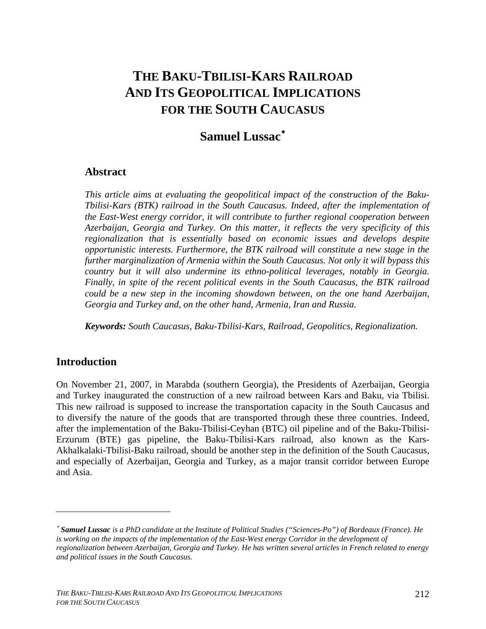# **THE BAKU-TBILISI-KARS RAILROAD AND ITS GEOPOLITICAL IMPLICATIONS FOR THE SOUTH CAUCASUS**

## **Samuel Lussac**[∗](#page-0-0)

### **Abstract**

*This article aims at evaluating the geopolitical impact of the construction of the Baku-Tbilisi-Kars (BTK) railroad in the South Caucasus. Indeed, after the implementation of the East-West energy corridor, it will contribute to further regional cooperation between Azerbaijan, Georgia and Turkey. On this matter, it reflects the very specificity of this regionalization that is essentially based on economic issues and develops despite opportunistic interests. Furthermore, the BTK railroad will constitute a new stage in the further marginalization of Armenia within the South Caucasus. Not only it will bypass this country but it will also undermine its ethno-political leverages, notably in Georgia. Finally, in spite of the recent political events in the South Caucasus, the BTK railroad could be a new step in the incoming showdown between, on the one hand Azerbaijan, Georgia and Turkey and, on the other hand, Armenia, Iran and Russia.* 

*Keywords: South Caucasus, Baku-Tbilisi-Kars, Railroad, Geopolitics, Regionalization.* 

### **Introduction**

 $\overline{a}$ 

On November 21, 2007, in Marabda (southern Georgia), the Presidents of Azerbaijan, Georgia and Turkey inaugurated the construction of a new railroad between Kars and Baku, via Tbilisi. This new railroad is supposed to increase the transportation capacity in the South Caucasus and to diversify the nature of the goods that are transported through these three countries. Indeed, after the implementation of the Baku-Tbilisi-Ceyhan (BTC) oil pipeline and of the Baku-Tbilisi-Erzurum (BTE) gas pipeline, the Baku-Tbilisi-Kars railroad, also known as the Kars-Akhalkalaki-Tbilisi-Baku railroad, should be another step in the definition of the South Caucasus, and especially of Azerbaijan, Georgia and Turkey, as a major transit corridor between Europe and Asia.

<span id="page-0-0"></span><sup>∗</sup> *Samuel Lussac is a PhD candidate at the Institute of Political Studies ("Sciences-Po") of Bordeaux (France). He*  is working on the impacts of the implementation of the East-West energy Corridor in the development of *regionalization between Azerbaijan, Georgia and Turkey. He has written several articles in French related to energy and political issues in the South Caucasus.*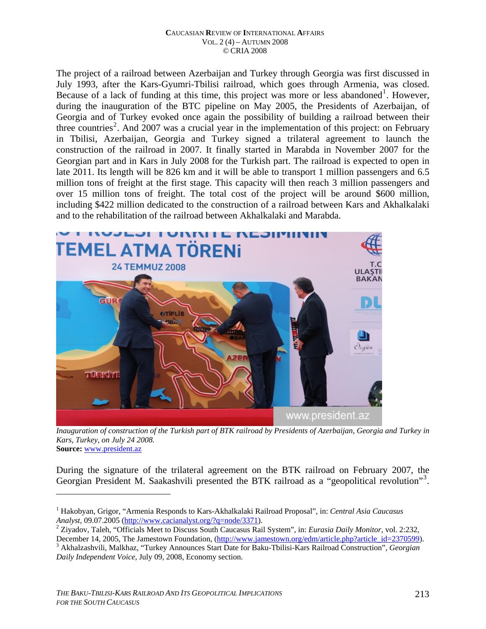The project of a railroad between Azerbaijan and Turkey through Georgia was first discussed in July 1993, after the Kars-Gyumri-Tbilisi railroad, which goes through Armenia, was closed. Because of a lack of funding at this time, this project was more or less abandoned<sup>[1](#page-1-0)</sup>. However, during the inauguration of the BTC pipeline on May 2005, the Presidents of Azerbaijan, of Georgia and of Turkey evoked once again the possibility of building a railroad between their three countries<sup>[2](#page-1-1)</sup>. And 2007 was a crucial year in the implementation of this project: on February in Tbilisi, Azerbaijan, Georgia and Turkey signed a trilateral agreement to launch the construction of the railroad in 2007. It finally started in Marabda in November 2007 for the Georgian part and in Kars in July 2008 for the Turkish part. The railroad is expected to open in late 2011. Its length will be 826 km and it will be able to transport 1 million passengers and 6.5 million tons of freight at the first stage. This capacity will then reach 3 million passengers and over 15 million tons of freight. The total cost of the project will be around \$600 million, including \$422 million dedicated to the construction of a railroad between Kars and Akhalkalaki and to the rehabilitation of the railroad between Akhalkalaki and Marabda.



*Inauguration of construction of the Turkish part of BTK railroad by Presidents of Azerbaijan, Georgia and Turkey in Kars, Turkey, on July 24 2008.*  **Source:** [www.president.az](http://www.president.az/) 

During the signature of the trilateral agreement on the BTK railroad on February 2007, the Georgian President M. Saakashvili presented the BTK railroad as a "geopolitical revolution"<sup>[3](#page-1-2)</sup>.

<span id="page-1-0"></span><sup>1</sup> Hakobyan, Grigor, "Armenia Responds to Kars-Akhalkalaki Railroad Proposal", in: *Central Asia Caucasus Analyst*, 09.07.2005 (<http://www.cacianalyst.org/?q=node/3371>). 2

<sup>&</sup>lt;sup>2</sup> Ziyadov, Taleh, "Officials Meet to Discuss South Caucasus Rail System", in: *Eurasia Daily Monitor*, vol. 2:232,

<span id="page-1-2"></span><span id="page-1-1"></span>December 14, 2005, The Jamestown Foundation, [\(http://www.jamestown.org/edm/article.php?article\\_id=2370599\)](http://www.jamestown.org/edm/article.php?article_id=2370599). Akhalzashvili, Malkhaz, "Turkey Announces Start Date for Baku-Tbilisi-Kars Railroad Construction", *Georgian Daily Independent Voice*, July 09, 2008, Economy section.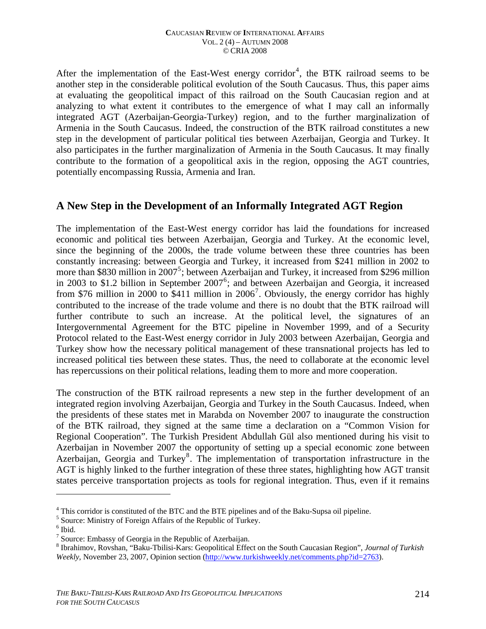After the implementation of the East-West energy corridor<sup>[4](#page-2-0)</sup>, the BTK railroad seems to be another step in the considerable political evolution of the South Caucasus. Thus, this paper aims at evaluating the geopolitical impact of this railroad on the South Caucasian region and at analyzing to what extent it contributes to the emergence of what I may call an informally integrated AGT (Azerbaijan-Georgia-Turkey) region, and to the further marginalization of Armenia in the South Caucasus. Indeed, the construction of the BTK railroad constitutes a new step in the development of particular political ties between Azerbaijan, Georgia and Turkey. It also participates in the further marginalization of Armenia in the South Caucasus. It may finally contribute to the formation of a geopolitical axis in the region, opposing the AGT countries, potentially encompassing Russia, Armenia and Iran.

### **A New Step in the Development of an Informally Integrated AGT Region**

The implementation of the East-West energy corridor has laid the foundations for increased economic and political ties between Azerbaijan, Georgia and Turkey. At the economic level, since the beginning of the 2000s, the trade volume between these three countries has been constantly increasing: between Georgia and Turkey, it increased from \$241 million in 2002 to more than \$830 million in 2007<sup>[5](#page-2-1)</sup>; between Azerbaijan and Turkey, it increased from \$296 million in 2003 to \$1.2 billion in September 2007<sup>[6](#page-2-2)</sup>; and between Azerbaijan and Georgia, it increased from \$[7](#page-2-3)6 million in 2000 to \$411 million in  $2006^7$ . Obviously, the energy corridor has highly contributed to the increase of the trade volume and there is no doubt that the BTK railroad will further contribute to such an increase. At the political level, the signatures of an Intergovernmental Agreement for the BTC pipeline in November 1999, and of a Security Protocol related to the East-West energy corridor in July 2003 between Azerbaijan, Georgia and Turkey show how the necessary political management of these transnational projects has led to increased political ties between these states. Thus, the need to collaborate at the economic level has repercussions on their political relations, leading them to more and more cooperation.

The construction of the BTK railroad represents a new step in the further development of an integrated region involving Azerbaijan, Georgia and Turkey in the South Caucasus. Indeed, when the presidents of these states met in Marabda on November 2007 to inaugurate the construction of the BTK railroad, they signed at the same time a declaration on a "Common Vision for Regional Cooperation". The Turkish President Abdullah Gül also mentioned during his visit to Azerbaijan in November 2007 the opportunity of setting up a special economic zone between Azerbaijan, Georgia and Turkey<sup>[8](#page-2-4)</sup>. The implementation of transportation infrastructure in the AGT is highly linked to the further integration of these three states, highlighting how AGT transit states perceive transportation projects as tools for regional integration. Thus, even if it remains

<span id="page-2-0"></span><sup>&</sup>lt;sup>4</sup> This corridor is constituted of the BTC and the BTE pipelines and of the Baku-Supsa oil pipeline.

<span id="page-2-1"></span><sup>&</sup>lt;sup>5</sup> Source: Ministry of Foreign Affairs of the Republic of Turkey.

<span id="page-2-2"></span> $<sup>6</sup>$  Ibid.</sup>

<span id="page-2-3"></span><sup>&</sup>lt;sup>7</sup> Source: Embassy of Georgia in the Republic of Azerbaijan.

<span id="page-2-4"></span><sup>8</sup> Ibrahimov, Rovshan, "Baku-Tbilisi-Kars: Geopolitical Effect on the South Caucasian Region", *Journal of Turkish Weekly*, November 23, 2007, Opinion section ([http://www.turkishweekly.net/comments.php?id=2763\)](http://www.turkishweekly.net/comments.php?id=2763).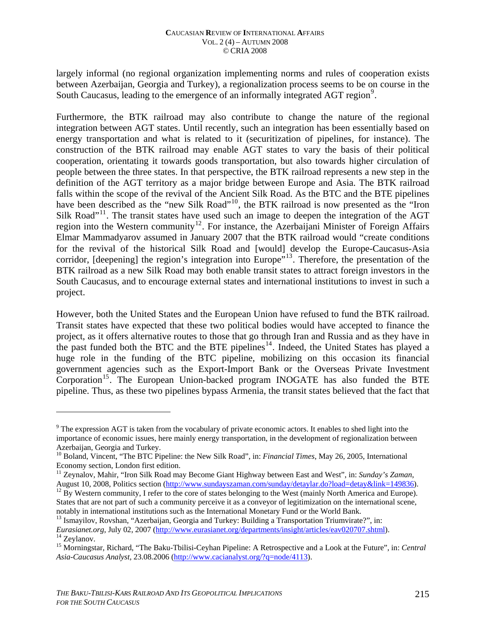largely informal (no regional organization implementing norms and rules of cooperation exists between Azerbaijan, Georgia and Turkey), a regionalization process seems to be on course in the South Caucasus, leading to the emergence of an informally integrated AGT region<sup>[9](#page-3-0)</sup>.

Furthermore, the BTK railroad may also contribute to change the nature of the regional integration between AGT states. Until recently, such an integration has been essentially based on energy transportation and what is related to it (securitization of pipelines, for instance). The construction of the BTK railroad may enable AGT states to vary the basis of their political cooperation, orientating it towards goods transportation, but also towards higher circulation of people between the three states. In that perspective, the BTK railroad represents a new step in the definition of the AGT territory as a major bridge between Europe and Asia. The BTK railroad falls within the scope of the revival of the Ancient Silk Road. As the BTC and the BTE pipelines have been described as the "new Silk Road"<sup>[10](#page-3-1)</sup>, the BTK railroad is now presented as the "Iron Silk Road"<sup>[11](#page-3-2)</sup>. The transit states have used such an image to deepen the integration of the AGT region into the Western community<sup>[12](#page-3-3)</sup>. For instance, the Azerbaijani Minister of Foreign Affairs Elmar Mammadyarov assumed in January 2007 that the BTK railroad would "create conditions for the revival of the historical Silk Road and [would] develop the Europe-Caucasus-Asia corridor, [deepening] the region's integration into Europe<sup>",[13](#page-3-4)</sup>. Therefore, the presentation of the BTK railroad as a new Silk Road may both enable transit states to attract foreign investors in the South Caucasus, and to encourage external states and international institutions to invest in such a project.

However, both the United States and the European Union have refused to fund the BTK railroad. Transit states have expected that these two political bodies would have accepted to finance the project, as it offers alternative routes to those that go through Iran and Russia and as they have in the past funded both the BTC and the BTE pipelines<sup>[14](#page-3-5)</sup>. Indeed, the United States has played a huge role in the funding of the BTC pipeline, mobilizing on this occasion its financial government agencies such as the Export-Import Bank or the Overseas Private Investment Corporation<sup>[15](#page-3-6)</sup>. The European Union-backed program INOGATE has also funded the BTE pipeline. Thus, as these two pipelines bypass Armenia, the transit states believed that the fact that

<span id="page-3-0"></span> $9^9$  The expression AGT is taken from the vocabulary of private economic actors. It enables to shed light into the importance of economic issues, here mainly energy transportation, in the development of regionalization between Azerbaijan, Georgia and Turkey.

<span id="page-3-1"></span><sup>10</sup> Boland, Vincent, "The BTC Pipeline: the New Silk Road", in: *Financial Times*, May 26, 2005, International Economy section, London first edition.

<span id="page-3-2"></span><sup>11</sup> Zeynalov, Mahir, "Iron Silk Road may Become Giant Highway between East and West", in: *Sunday's Zaman*, August 10, 2008, Politics section [\(http://www.sundayszaman.com/sunday/detaylar.do?load=detay&link=149836\)](http://www.sundayszaman.com/sunday/detaylar.do?load=detay&link=149836). <sup>12</sup> By Western community, I refer to the core of states belonging to the West (mainly North America and Europe).

<span id="page-3-3"></span>States that are not part of such a community perceive it as a conveyor of legitimization on the international scene, notably in international institutions such as the International Monetary Fund or the World Bank.

<span id="page-3-4"></span><sup>&</sup>lt;sup>13</sup> Ismayilov, Rovshan, "Azerbaijan, Georgia and Turkey: Building a Transportation Triumvirate?", in: *Eurasianet.org*, July 02, 2007 [\(http://www.eurasianet.org/departments/insight/articles/eav020707.shtml](http://www.eurasianet.org/departments/insight/articles/eav020707.shtml)). 14 Zeylanov.

<span id="page-3-6"></span><span id="page-3-5"></span><sup>15</sup> Morningstar, Richard, "The Baku-Tbilisi-Ceyhan Pipeline: A Retrospective and a Look at the Future", in: *Central Asia-Caucasus Analyst*, 23.08.2006 [\(http://www.cacianalyst.org/?q=node/4113\)](http://www.cacianalyst.org/?q=node/4113).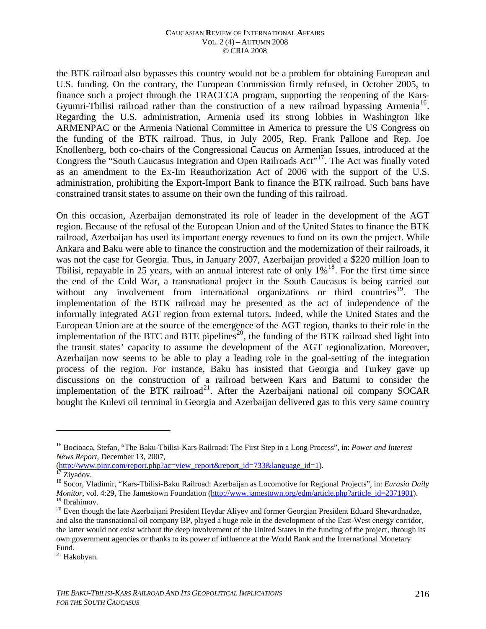the BTK railroad also bypasses this country would not be a problem for obtaining European and U.S. funding. On the contrary, the European Commission firmly refused, in October 2005, to finance such a project through the TRACECA program, supporting the reopening of the Kars-Gyumri-Tbilisi railroad rather than the construction of a new railroad bypassing Armenia<sup>[16](#page-4-0)</sup>. Regarding the U.S. administration, Armenia used its strong lobbies in Washington like ARMENPAC or the Armenia National Committee in America to pressure the US Congress on the funding of the BTK railroad. Thus, in July 2005, Rep. Frank Pallone and Rep. Joe Knollenberg, both co-chairs of the Congressional Caucus on Armenian Issues, introduced at the Congress the "South Caucasus Integration and Open Railroads Act"[17](#page-4-1). The Act was finally voted as an amendment to the Ex-Im Reauthorization Act of 2006 with the support of the U.S. administration, prohibiting the Export-Import Bank to finance the BTK railroad. Such bans have constrained transit states to assume on their own the funding of this railroad.

On this occasion, Azerbaijan demonstrated its role of leader in the development of the AGT region. Because of the refusal of the European Union and of the United States to finance the BTK railroad, Azerbaijan has used its important energy revenues to fund on its own the project. While Ankara and Baku were able to finance the construction and the modernization of their railroads, it was not the case for Georgia. Thus, in January 2007, Azerbaijan provided a \$220 million loan to Tbilisi, repayable in 25 years, with an annual interest rate of only  $1\%$ <sup>[18](#page-4-2)</sup>. For the first time since the end of the Cold War, a transnational project in the South Caucasus is being carried out without any involvement from international organizations or third countries<sup>[19](#page-4-3)</sup>. The implementation of the BTK railroad may be presented as the act of independence of the informally integrated AGT region from external tutors. Indeed, while the United States and the European Union are at the source of the emergence of the AGT region, thanks to their role in the implementation of the BTC and BTE pipelines<sup>[20](#page-4-4)</sup>, the funding of the BTK railroad shed light into the transit states' capacity to assume the development of the AGT regionalization. Moreover, Azerbaijan now seems to be able to play a leading role in the goal-setting of the integration process of the region. For instance, Baku has insisted that Georgia and Turkey gave up discussions on the construction of a railroad between Kars and Batumi to consider the implementation of the BTK railroad<sup>[21](#page-4-5)</sup>. After the Azerbaijani national oil company SOCAR bought the Kulevi oil terminal in Georgia and Azerbaijan delivered gas to this very same country

[\(http://www.pinr.com/report.php?ac=view\\_report&report\\_id=733&language\\_id=1\)](http://www.pinr.com/report.php?ac=view_report&report_id=733&language_id=1). [17](http://www.pinr.com/report.php?ac=view_report&report_id=733&language_id=1) Ziyadov.

<span id="page-4-0"></span><sup>16</sup> Bocioaca, Stefan, "The Baku-Tbilisi-Kars Railroad: The First Step in a Long Process", in: *Power and Interest News Report*, December 13, 2007,

<span id="page-4-2"></span><span id="page-4-1"></span><sup>18</sup> Socor, Vladimir, "Kars-Tbilisi-Baku Railroad: Azerbaijan as Locomotive for Regional Projects", in: *Eurasia Daily Monitor*, vol. 4:29, The Jamestown Foundation ([http://www.jamestown.org/edm/article.php?article\\_id=2371901\)](http://www.jamestown.org/edm/article.php?article_id=2371901). 19 Ibrahimov.

<span id="page-4-4"></span><span id="page-4-3"></span><sup>&</sup>lt;sup>20</sup> Even though the late Azerbaijani President Heydar Aliyev and former Georgian President Eduard Shevardnadze, and also the transnational oil company BP, played a huge role in the development of the East-West energy corridor, the latter would not exist without the deep involvement of the United States in the funding of the project, through its own government agencies or thanks to its power of influence at the World Bank and the International Monetary Fund.

<span id="page-4-5"></span><sup>21</sup> Hakobyan.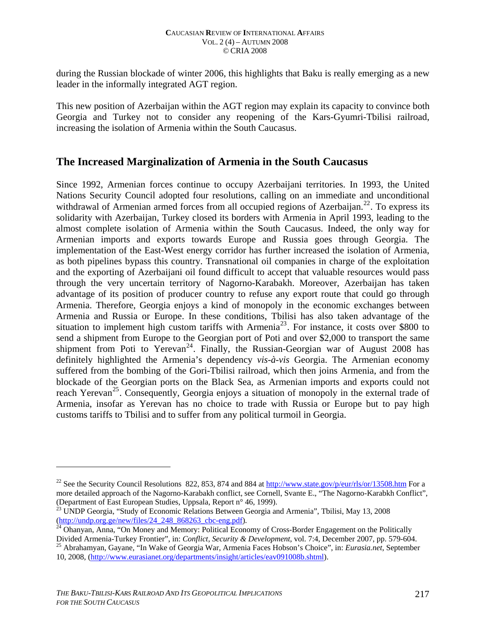during the Russian blockade of winter 2006, this highlights that Baku is really emerging as a new leader in the informally integrated AGT region.

This new position of Azerbaijan within the AGT region may explain its capacity to convince both Georgia and Turkey not to consider any reopening of the Kars-Gyumri-Tbilisi railroad, increasing the isolation of Armenia within the South Caucasus.

### **The Increased Marginalization of Armenia in the South Caucasus**

Since 1992, Armenian forces continue to occupy Azerbaijani territories. In 1993, the United Nations Security Council adopted four resolutions, calling on an immediate and unconditional withdrawal of Armenian armed forces from all occupied regions of Azerbaijan.<sup>[22](#page-5-0)</sup>. To express its solidarity with Azerbaijan, Turkey closed its borders with Armenia in April 1993, leading to the almost complete isolation of Armenia within the South Caucasus. Indeed, the only way for Armenian imports and exports towards Europe and Russia goes through Georgia. The implementation of the East-West energy corridor has further increased the isolation of Armenia, as both pipelines bypass this country. Transnational oil companies in charge of the exploitation and the exporting of Azerbaijani oil found difficult to accept that valuable resources would pass through the very uncertain territory of Nagorno-Karabakh. Moreover, Azerbaijan has taken advantage of its position of producer country to refuse any export route that could go through Armenia. Therefore, Georgia enjoys a kind of monopoly in the economic exchanges between Armenia and Russia or Europe. In these conditions, Tbilisi has also taken advantage of the situation to implement high custom tariffs with Armenia<sup>[23](#page-5-1)</sup>. For instance, it costs over \$800 to send a shipment from Europe to the Georgian port of Poti and over \$2,000 to transport the same shipment from Poti to Yerevan<sup>[24](#page-5-2)</sup>. Finally, the Russian-Georgian war of August 2008 has definitely highlighted the Armenia's dependency *vis-à-vis* Georgia. The Armenian economy suffered from the bombing of the Gori-Tbilisi railroad, which then joins Armenia, and from the blockade of the Georgian ports on the Black Sea, as Armenian imports and exports could not reach Yerevan<sup>[25](#page-5-3)</sup>. Consequently, Georgia enjoys a situation of monopoly in the external trade of Armenia, insofar as Yerevan has no choice to trade with Russia or Europe but to pay high customs tariffs to Tbilisi and to suffer from any political turmoil in Georgia.

<span id="page-5-0"></span><sup>&</sup>lt;sup>22</sup> See the Security Council Resolutions 822, 853, 874 and 884 at<http://www.state.gov/p/eur/rls/or/13508.htm> For a more detailed approach of the Nagorno-Karabakh conflict, see Cornell, Svante E., "The Nagorno-Karabkh Conflict", (Department of East European Studies, Uppsala, Report n° 46, 1999).

<span id="page-5-1"></span><sup>&</sup>lt;sup>23</sup> UNDP Georgia, "Study of Economic Relations Between Georgia and Armenia", Tbilisi, May 13, 2008 (http://undp.org.ge/new/files/24 248 868263 cbc-eng.pdf).

<span id="page-5-2"></span> $^{24}$  $^{24}$  $^{24}$  Ohanyan, Anna, "On Money and Memory: Political Economy of Cross-Border Engagement on the Politically Divided Armenia-Turkey Frontier", in: Conflict, Security & Development, vol. 7:4, December 2007, pp. 579-604.<br><sup>25</sup> Abrahamyan, Gayane, "In Wake of Georgia War, Armenia Faces Hobson's Choice", in: *Eurasia.net*, September

<span id="page-5-3"></span><sup>10, 2008,</sup> [\(http://www.eurasianet.org/departments/insight/articles/eav091008b.shtml](http://www.eurasianet.org/departments/insight/articles/eav091008b.shtml)).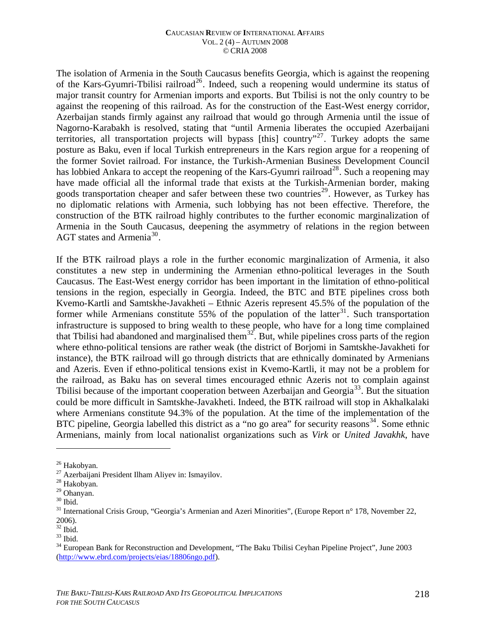The isolation of Armenia in the South Caucasus benefits Georgia, which is against the reopening of the Kars-Gyumri-Tbilisi railroad<sup>[26](#page-6-0)</sup>. Indeed, such a reopening would undermine its status of major transit country for Armenian imports and exports. But Tbilisi is not the only country to be against the reopening of this railroad. As for the construction of the East-West energy corridor, Azerbaijan stands firmly against any railroad that would go through Armenia until the issue of Nagorno-Karabakh is resolved, stating that "until Armenia liberates the occupied Azerbaijani territories, all transportation projects will bypass  $[this]$  country"<sup>[27](#page-6-1)</sup>. Turkey adopts the same posture as Baku, even if local Turkish entrepreneurs in the Kars region argue for a reopening of the former Soviet railroad. For instance, the Turkish-Armenian Business Development Council has lobbied Ankara to accept the reopening of the Kars-Gyumri railroad<sup>[28](#page-6-2)</sup>. Such a reopening may have made official all the informal trade that exists at the Turkish-Armenian border, making goods transportation cheaper and safer between these two countries<sup>[29](#page-6-3)</sup>. However, as Turkey has no diplomatic relations with Armenia, such lobbying has not been effective. Therefore, the construction of the BTK railroad highly contributes to the further economic marginalization of Armenia in the South Caucasus, deepening the asymmetry of relations in the region between AGT states and Armenia<sup>[30](#page-6-4)</sup>.

If the BTK railroad plays a role in the further economic marginalization of Armenia, it also constitutes a new step in undermining the Armenian ethno-political leverages in the South Caucasus. The East-West energy corridor has been important in the limitation of ethno-political tensions in the region, especially in Georgia. Indeed, the BTC and BTE pipelines cross both Kvemo-Kartli and Samtskhe-Javakheti – Ethnic Azeris represent 45.5% of the population of the former while Armenians constitute 55% of the population of the latter<sup>[31](#page-6-5)</sup>. Such transportation infrastructure is supposed to bring wealth to these people, who have for a long time complained that Tbilisi had abandoned and marginalised them<sup>[32](#page-6-6)</sup>. But, while pipelines cross parts of the region where ethno-political tensions are rather weak (the district of Borjomi in Samtskhe-Javakheti for instance), the BTK railroad will go through districts that are ethnically dominated by Armenians and Azeris. Even if ethno-political tensions exist in Kvemo-Kartli, it may not be a problem for the railroad, as Baku has on several times encouraged ethnic Azeris not to complain against Tbilisi because of the important cooperation between Azerbaijan and Georgia<sup>[33](#page-6-7)</sup>. But the situation could be more difficult in Samtskhe-Javakheti. Indeed, the BTK railroad will stop in Akhalkalaki where Armenians constitute 94.3% of the population. At the time of the implementation of the BTC pipeline, Georgia labelled this district as a "no go area" for security reasons<sup>[34](#page-6-8)</sup>. Some ethnic Armenians, mainly from local nationalist organizations such as *Virk* or *United Javakhk*, have

<span id="page-6-0"></span><sup>&</sup>lt;sup>26</sup> Hakobyan.

<span id="page-6-1"></span><sup>27</sup> Azerbaijani President Ilham Aliyev in: Ismayilov.

<span id="page-6-2"></span><sup>28</sup> Hakobyan.

<span id="page-6-3"></span><sup>29</sup> Ohanyan.

<span id="page-6-4"></span> $^{\rm 30}$  Ibid.

<span id="page-6-5"></span><sup>&</sup>lt;sup>31</sup> International Crisis Group, "Georgia's Armenian and Azeri Minorities", (Europe Report n° 178, November 22, 2006).

<span id="page-6-6"></span><sup>32</sup> Ibid.

<span id="page-6-7"></span> $33$  Ibid.

<span id="page-6-8"></span><sup>&</sup>lt;sup>34</sup> European Bank for Reconstruction and Development, "The Baku Tbilisi Ceyhan Pipeline Project", June 2003 [\(http://www.ebrd.com/projects/eias/18806ngo.pdf](http://www.ebrd.com/projects/eias/18806ngo.pdf)).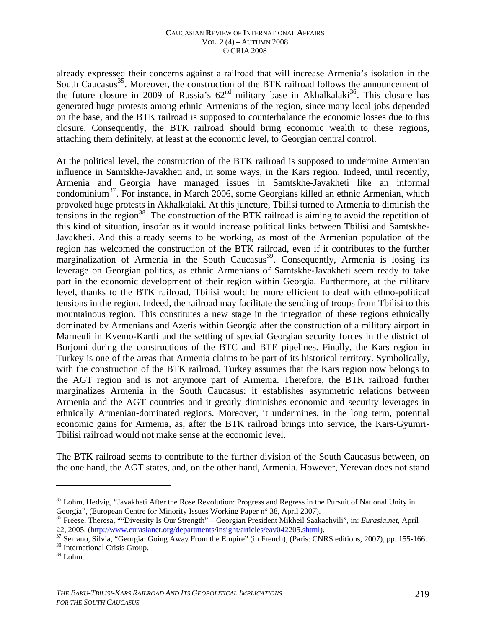already expressed their concerns against a railroad that will increase Armenia's isolation in the South Caucasus<sup>[35](#page-7-0)</sup>. Moreover, the construction of the BTK railroad follows the announcement of the future closure in 2009 of Russia's  $62<sup>nd</sup>$  military base in Akhalkalaki<sup>[36](#page-7-1)</sup>. This closure has generated huge protests among ethnic Armenians of the region, since many local jobs depended on the base, and the BTK railroad is supposed to counterbalance the economic losses due to this closure. Consequently, the BTK railroad should bring economic wealth to these regions, attaching them definitely, at least at the economic level, to Georgian central control.

At the political level, the construction of the BTK railroad is supposed to undermine Armenian influence in Samtskhe-Javakheti and, in some ways, in the Kars region. Indeed, until recently, Armenia and Georgia have managed issues in Samtskhe-Javakheti like an informal condominium[37](#page-7-2). For instance, in March 2006, some Georgians killed an ethnic Armenian, which provoked huge protests in Akhalkalaki. At this juncture, Tbilisi turned to Armenia to diminish the tensions in the region<sup>[38](#page-7-3)</sup>. The construction of the BTK railroad is aiming to avoid the repetition of this kind of situation, insofar as it would increase political links between Tbilisi and Samtskhe-Javakheti. And this already seems to be working, as most of the Armenian population of the region has welcomed the construction of the BTK railroad, even if it contributes to the further marginalization of Armenia in the South Caucasus<sup>[39](#page-7-4)</sup>. Consequently, Armenia is losing its leverage on Georgian politics, as ethnic Armenians of Samtskhe-Javakheti seem ready to take part in the economic development of their region within Georgia. Furthermore, at the military level, thanks to the BTK railroad, Tbilisi would be more efficient to deal with ethno-political tensions in the region. Indeed, the railroad may facilitate the sending of troops from Tbilisi to this mountainous region. This constitutes a new stage in the integration of these regions ethnically dominated by Armenians and Azeris within Georgia after the construction of a military airport in Marneuli in Kvemo-Kartli and the settling of special Georgian security forces in the district of Borjomi during the constructions of the BTC and BTE pipelines. Finally, the Kars region in Turkey is one of the areas that Armenia claims to be part of its historical territory. Symbolically, with the construction of the BTK railroad, Turkey assumes that the Kars region now belongs to the AGT region and is not anymore part of Armenia. Therefore, the BTK railroad further marginalizes Armenia in the South Caucasus: it establishes asymmetric relations between Armenia and the AGT countries and it greatly diminishes economic and security leverages in ethnically Armenian-dominated regions. Moreover, it undermines, in the long term, potential economic gains for Armenia, as, after the BTK railroad brings into service, the Kars-Gyumri-Tbilisi railroad would not make sense at the economic level.

The BTK railroad seems to contribute to the further division of the South Caucasus between, on the one hand, the AGT states, and, on the other hand, Armenia. However, Yerevan does not stand

<span id="page-7-0"></span><sup>&</sup>lt;sup>35</sup> Lohm, Hedvig, "Javakheti After the Rose Revolution: Progress and Regress in the Pursuit of National Unity in Georgia", (European Centre for Minority Issues Working Paper n° 38, April 2007).

<span id="page-7-1"></span><sup>36</sup> Freese, Theresa, ""Diversity Is Our Strength" – Georgian President Mikheil Saakachvili", in: *Eurasia.net*, April

<span id="page-7-3"></span><span id="page-7-2"></span><sup>&</sup>lt;sup>37</sup> Serrano, Silvia, "Georgia: Going Away From the Empire" (in French), (Paris: CNRS editions, 2007), pp. 155-166.<br><sup>38</sup> International Crisis Group.

<span id="page-7-4"></span> $39$  Lohm.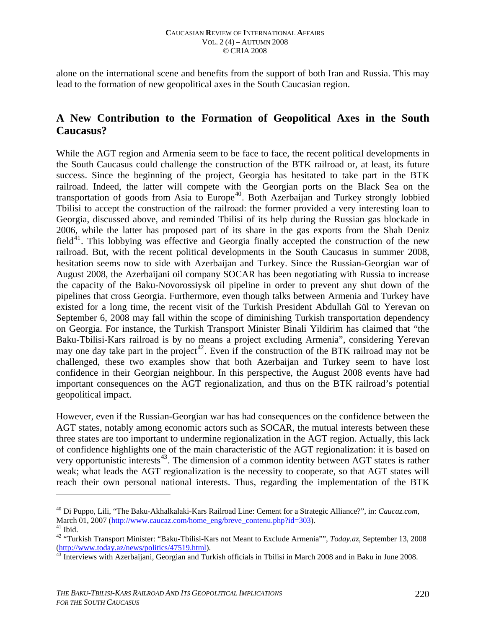alone on the international scene and benefits from the support of both Iran and Russia. This may lead to the formation of new geopolitical axes in the South Caucasian region.

### **A New Contribution to the Formation of Geopolitical Axes in the South Caucasus?**

While the AGT region and Armenia seem to be face to face, the recent political developments in the South Caucasus could challenge the construction of the BTK railroad or, at least, its future success. Since the beginning of the project, Georgia has hesitated to take part in the BTK railroad. Indeed, the latter will compete with the Georgian ports on the Black Sea on the transportation of goods from Asia to Europe<sup>[40](#page-8-0)</sup>. Both Azerbaijan and Turkey strongly lobbied Tbilisi to accept the construction of the railroad: the former provided a very interesting loan to Georgia, discussed above, and reminded Tbilisi of its help during the Russian gas blockade in 2006, while the latter has proposed part of its share in the gas exports from the Shah Deniz field<sup>[41](#page-8-1)</sup>. This lobbying was effective and Georgia finally accepted the construction of the new railroad. But, with the recent political developments in the South Caucasus in summer 2008, hesitation seems now to side with Azerbaijan and Turkey. Since the Russian-Georgian war of August 2008, the Azerbaijani oil company SOCAR has been negotiating with Russia to increase the capacity of the Baku-Novorossiysk oil pipeline in order to prevent any shut down of the pipelines that cross Georgia. Furthermore, even though talks between Armenia and Turkey have existed for a long time, the recent visit of the Turkish President Abdullah Gül to Yerevan on September 6, 2008 may fall within the scope of diminishing Turkish transportation dependency on Georgia. For instance, the Turkish Transport Minister Binali Yildirim has claimed that "the Baku-Tbilisi-Kars railroad is by no means a project excluding Armenia", considering Yerevan may one day take part in the project<sup>[42](#page-8-2)</sup>. Even if the construction of the BTK railroad may not be challenged, these two examples show that both Azerbaijan and Turkey seem to have lost confidence in their Georgian neighbour. In this perspective, the August 2008 events have had important consequences on the AGT regionalization, and thus on the BTK railroad's potential geopolitical impact.

However, even if the Russian-Georgian war has had consequences on the confidence between the AGT states, notably among economic actors such as SOCAR, the mutual interests between these three states are too important to undermine regionalization in the AGT region. Actually, this lack of confidence highlights one of the main characteristic of the AGT regionalization: it is based on very opportunistic interests<sup>[43](#page-8-3)</sup>. The dimension of a common identity between AGT states is rather weak; what leads the AGT regionalization is the necessity to cooperate, so that AGT states will reach their own personal national interests. Thus, regarding the implementation of the BTK

<span id="page-8-0"></span><sup>40</sup> Di Puppo, Lili, "The Baku-Akhalkalaki-Kars Railroad Line: Cement for a Strategic Alliance?", in: *Caucaz.com*, March 01, 2007 [\(http://www.caucaz.com/home\\_eng/breve\\_contenu.php?id=303\)](http://www.caucaz.com/home_eng/breve_contenu.php?id=303). <sup>41</sup> Ibid.

<span id="page-8-2"></span><span id="page-8-1"></span><sup>&</sup>lt;sup>42</sup> "Turkish Transport Minister: "Baku-Tbilisi-Kars not Meant to Exclude Armenia"", *Today.az*, September 13, 2008 (http://www.today.az/news/politics/47519.html).

<span id="page-8-3"></span> $\frac{\sqrt{43}}{10}$  $\frac{\sqrt{43}}{10}$  $\frac{\sqrt{43}}{10}$  Interviews with Azerbaijani, Georgian and Turkish officials in Tbilisi in March 2008 and in Baku in June 2008.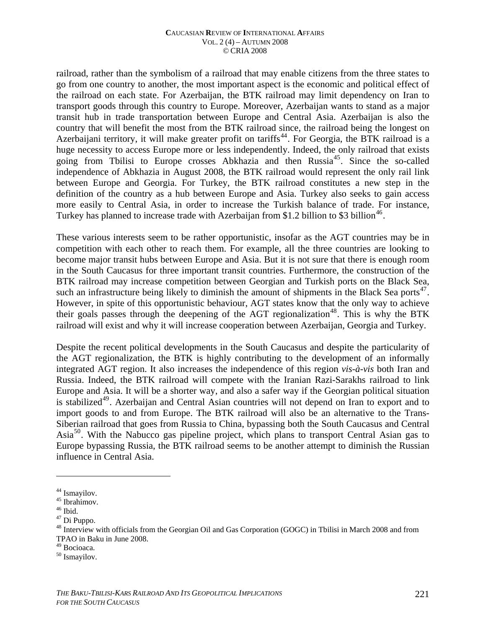railroad, rather than the symbolism of a railroad that may enable citizens from the three states to go from one country to another, the most important aspect is the economic and political effect of the railroad on each state. For Azerbaijan, the BTK railroad may limit dependency on Iran to transport goods through this country to Europe. Moreover, Azerbaijan wants to stand as a major transit hub in trade transportation between Europe and Central Asia. Azerbaijan is also the country that will benefit the most from the BTK railroad since, the railroad being the longest on Azerbaijani territory, it will make greater profit on tariffs<sup>[44](#page-9-0)</sup>. For Georgia, the BTK railroad is a huge necessity to access Europe more or less independently. Indeed, the only railroad that exists going from Tbilisi to Europe crosses Abkhazia and then Russia<sup>[45](#page-9-1)</sup>. Since the so-called independence of Abkhazia in August 2008, the BTK railroad would represent the only rail link between Europe and Georgia. For Turkey, the BTK railroad constitutes a new step in the definition of the country as a hub between Europe and Asia. Turkey also seeks to gain access more easily to Central Asia, in order to increase the Turkish balance of trade. For instance, Turkey has planned to increase trade with Azerbaijan from \$1.2 billion to \$3 billion<sup>[46](#page-9-2)</sup>.

These various interests seem to be rather opportunistic, insofar as the AGT countries may be in competition with each other to reach them. For example, all the three countries are looking to become major transit hubs between Europe and Asia. But it is not sure that there is enough room in the South Caucasus for three important transit countries. Furthermore, the construction of the BTK railroad may increase competition between Georgian and Turkish ports on the Black Sea, such an infrastructure being likely to diminish the amount of shipments in the Black Sea ports<sup>[47](#page-9-3)</sup>. However, in spite of this opportunistic behaviour, AGT states know that the only way to achieve their goals passes through the deepening of the AGT regionalization<sup>[48](#page-9-4)</sup>. This is why the BTK railroad will exist and why it will increase cooperation between Azerbaijan, Georgia and Turkey.

Despite the recent political developments in the South Caucasus and despite the particularity of the AGT regionalization, the BTK is highly contributing to the development of an informally integrated AGT region. It also increases the independence of this region *vis-à-vis* both Iran and Russia. Indeed, the BTK railroad will compete with the Iranian Razi-Sarakhs railroad to link Europe and Asia. It will be a shorter way, and also a safer way if the Georgian political situation is stabilized<sup>[49](#page-9-5)</sup>. Azerbaijan and Central Asian countries will not depend on Iran to export and to import goods to and from Europe. The BTK railroad will also be an alternative to the Trans-Siberian railroad that goes from Russia to China, bypassing both the South Caucasus and Central Asia<sup>[50](#page-9-6)</sup>. With the Nabucco gas pipeline project, which plans to transport Central Asian gas to Europe bypassing Russia, the BTK railroad seems to be another attempt to diminish the Russian influence in Central Asia.

<span id="page-9-0"></span><sup>&</sup>lt;sup>44</sup> Ismayilov.

 $^{45}$  Ibrahimov.

<span id="page-9-2"></span><span id="page-9-1"></span> $^{46}$  Ibid.

<span id="page-9-3"></span><sup>47</sup> Di Puppo.

<span id="page-9-4"></span><sup>&</sup>lt;sup>48</sup> Interview with officials from the Georgian Oil and Gas Corporation (GOGC) in Tbilisi in March 2008 and from TPAO in Baku in June 2008.

<span id="page-9-5"></span><sup>49</sup> Bocioaca.

<span id="page-9-6"></span><sup>50</sup> Ismayilov.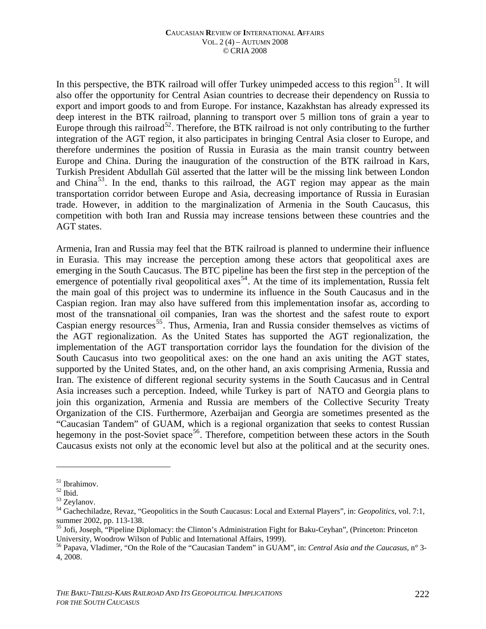In this perspective, the BTK railroad will offer Turkey unimpeded access to this region<sup>[51](#page-10-0)</sup>. It will also offer the opportunity for Central Asian countries to decrease their dependency on Russia to export and import goods to and from Europe. For instance, Kazakhstan has already expressed its deep interest in the BTK railroad, planning to transport over 5 million tons of grain a year to Europe through this railroad<sup>[52](#page-10-1)</sup>. Therefore, the BTK railroad is not only contributing to the further integration of the AGT region, it also participates in bringing Central Asia closer to Europe, and therefore undermines the position of Russia in Eurasia as the main transit country between Europe and China. During the inauguration of the construction of the BTK railroad in Kars, Turkish President Abdullah Gül asserted that the latter will be the missing link between London and China<sup>[53](#page-10-2)</sup>. In the end, thanks to this railroad, the AGT region may appear as the main transportation corridor between Europe and Asia, decreasing importance of Russia in Eurasian trade. However, in addition to the marginalization of Armenia in the South Caucasus, this competition with both Iran and Russia may increase tensions between these countries and the AGT states.

Armenia, Iran and Russia may feel that the BTK railroad is planned to undermine their influence in Eurasia. This may increase the perception among these actors that geopolitical axes are emerging in the South Caucasus. The BTC pipeline has been the first step in the perception of the emergence of potentially rival geopolitical  $\arccos^{54}$  $\arccos^{54}$  $\arccos^{54}$ . At the time of its implementation, Russia felt the main goal of this project was to undermine its influence in the South Caucasus and in the Caspian region. Iran may also have suffered from this implementation insofar as, according to most of the transnational oil companies, Iran was the shortest and the safest route to export Caspian energy resources<sup>[55](#page-10-4)</sup>. Thus, Armenia, Iran and Russia consider themselves as victims of the AGT regionalization. As the United States has supported the AGT regionalization, the implementation of the AGT transportation corridor lays the foundation for the division of the South Caucasus into two geopolitical axes: on the one hand an axis uniting the AGT states, supported by the United States, and, on the other hand, an axis comprising Armenia, Russia and Iran. The existence of different regional security systems in the South Caucasus and in Central Asia increases such a perception. Indeed, while Turkey is part of NATO and Georgia plans to join this organization, Armenia and Russia are members of the Collective Security Treaty Organization of the CIS. Furthermore, Azerbaijan and Georgia are sometimes presented as the "Caucasian Tandem" of GUAM, which is a regional organization that seeks to contest Russian hegemony in the post-Soviet space<sup>[56](#page-10-5)</sup>. Therefore, competition between these actors in the South Caucasus exists not only at the economic level but also at the political and at the security ones.

<span id="page-10-0"></span><sup>51</sup> Ibrahimov.

<span id="page-10-1"></span> $^{52}$  Ibid.

<span id="page-10-2"></span><sup>53</sup> Zeylanov.

<span id="page-10-3"></span><sup>54</sup> Gachechiladze, Revaz, "Geopolitics in the South Caucasus: Local and External Players", in: *Geopolitics*, vol. 7:1, summer 2002, pp. 113-138.

<span id="page-10-4"></span><sup>&</sup>lt;sup>55</sup> Jofi, Joseph, "Pipeline Diplomacy: the Clinton's Administration Fight for Baku-Ceyhan", (Princeton: Princeton University, Woodrow Wilson of Public and International Affairs, 1999).<br><sup>56</sup> Papava, Vladimer, "On the Role of the "Caucasian Tandem" in GUAM", in: *Central Asia and the Caucasus*, n° 3-

<span id="page-10-5"></span><sup>4, 2008.</sup>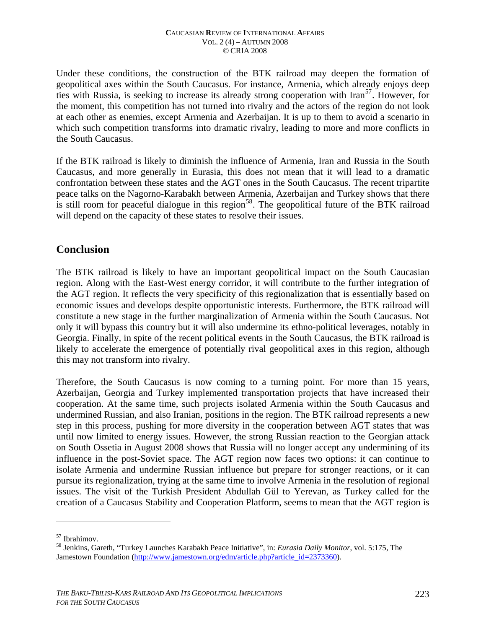Under these conditions, the construction of the BTK railroad may deepen the formation of geopolitical axes within the South Caucasus. For instance, Armenia, which already enjoys deep ties with Russia, is seeking to increase its already strong cooperation with  $\text{tran}^{57}$  $\text{tran}^{57}$  $\text{tran}^{57}$ . However, for the moment, this competition has not turned into rivalry and the actors of the region do not look at each other as enemies, except Armenia and Azerbaijan. It is up to them to avoid a scenario in which such competition transforms into dramatic rivalry, leading to more and more conflicts in the South Caucasus.

If the BTK railroad is likely to diminish the influence of Armenia, Iran and Russia in the South Caucasus, and more generally in Eurasia, this does not mean that it will lead to a dramatic confrontation between these states and the AGT ones in the South Caucasus. The recent tripartite peace talks on the Nagorno-Karabakh between Armenia, Azerbaijan and Turkey shows that there is still room for peaceful dialogue in this region<sup>[58](#page-11-1)</sup>. The geopolitical future of the BTK railroad will depend on the capacity of these states to resolve their issues.

### **Conclusion**

The BTK railroad is likely to have an important geopolitical impact on the South Caucasian region. Along with the East-West energy corridor, it will contribute to the further integration of the AGT region. It reflects the very specificity of this regionalization that is essentially based on economic issues and develops despite opportunistic interests. Furthermore, the BTK railroad will constitute a new stage in the further marginalization of Armenia within the South Caucasus. Not only it will bypass this country but it will also undermine its ethno-political leverages, notably in Georgia. Finally, in spite of the recent political events in the South Caucasus, the BTK railroad is likely to accelerate the emergence of potentially rival geopolitical axes in this region, although this may not transform into rivalry.

Therefore, the South Caucasus is now coming to a turning point. For more than 15 years, Azerbaijan, Georgia and Turkey implemented transportation projects that have increased their cooperation. At the same time, such projects isolated Armenia within the South Caucasus and undermined Russian, and also Iranian, positions in the region. The BTK railroad represents a new step in this process, pushing for more diversity in the cooperation between AGT states that was until now limited to energy issues. However, the strong Russian reaction to the Georgian attack on South Ossetia in August 2008 shows that Russia will no longer accept any undermining of its influence in the post-Soviet space. The AGT region now faces two options: it can continue to isolate Armenia and undermine Russian influence but prepare for stronger reactions, or it can pursue its regionalization, trying at the same time to involve Armenia in the resolution of regional issues. The visit of the Turkish President Abdullah Gül to Yerevan, as Turkey called for the creation of a Caucasus Stability and Cooperation Platform, seems to mean that the AGT region is

<span id="page-11-0"></span><sup>57</sup> Ibrahimov.

<span id="page-11-1"></span><sup>58</sup> Jenkins, Gareth, "Turkey Launches Karabakh Peace Initiative", in: *Eurasia Daily Monitor*, vol. 5:175, The Jamestown Foundation [\(http://www.jamestown.org/edm/article.php?article\\_id=2373360\)](http://www.jamestown.org/edm/article.php?article_id=2373360).